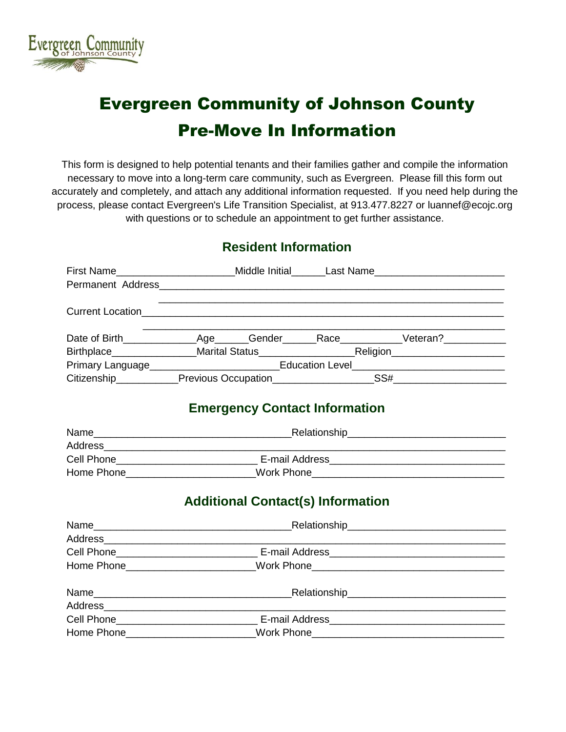

# Evergreen Community of Johnson County Pre-Move In Information

This form is designed to help potential tenants and their families gather and compile the information necessary to move into a long-term care community, such as Evergreen. Please fill this form out accurately and completely, and attach any additional information requested. If you need help during the process, please contact Evergreen's Life Transition Specialist, at 913.477.8227 or luannef@ecojc.org with questions or to schedule an appointment to get further assistance.

#### **Resident Information**

|                                                                                                                | First Name__________________________Middle Initial_______Last Name_______________ |                                          |                                                                                           |  |
|----------------------------------------------------------------------------------------------------------------|-----------------------------------------------------------------------------------|------------------------------------------|-------------------------------------------------------------------------------------------|--|
|                                                                                                                |                                                                                   |                                          |                                                                                           |  |
|                                                                                                                |                                                                                   |                                          | Current Location <b>Current Location</b>                                                  |  |
|                                                                                                                |                                                                                   |                                          | the control of the control of the control of the control of the control of the control of |  |
|                                                                                                                |                                                                                   |                                          |                                                                                           |  |
| Primary Language_______________________________Education Level___________________                              |                                                                                   |                                          |                                                                                           |  |
|                                                                                                                |                                                                                   |                                          |                                                                                           |  |
|                                                                                                                |                                                                                   | <b>Emergency Contact Information</b>     |                                                                                           |  |
|                                                                                                                |                                                                                   |                                          |                                                                                           |  |
|                                                                                                                |                                                                                   |                                          |                                                                                           |  |
|                                                                                                                |                                                                                   |                                          |                                                                                           |  |
|                                                                                                                |                                                                                   |                                          |                                                                                           |  |
|                                                                                                                |                                                                                   | <b>Additional Contact(s) Information</b> |                                                                                           |  |
|                                                                                                                |                                                                                   |                                          |                                                                                           |  |
|                                                                                                                |                                                                                   |                                          |                                                                                           |  |
|                                                                                                                |                                                                                   |                                          |                                                                                           |  |
|                                                                                                                |                                                                                   |                                          |                                                                                           |  |
|                                                                                                                |                                                                                   |                                          |                                                                                           |  |
|                                                                                                                |                                                                                   |                                          |                                                                                           |  |
|                                                                                                                |                                                                                   |                                          |                                                                                           |  |
| Work Phone 2008 2009 2010 2021 2022 2023 2024 2022 2023 2024 2022 2023 2024 2022 2023 2024 2025 2026 2027 2028 |                                                                                   |                                          |                                                                                           |  |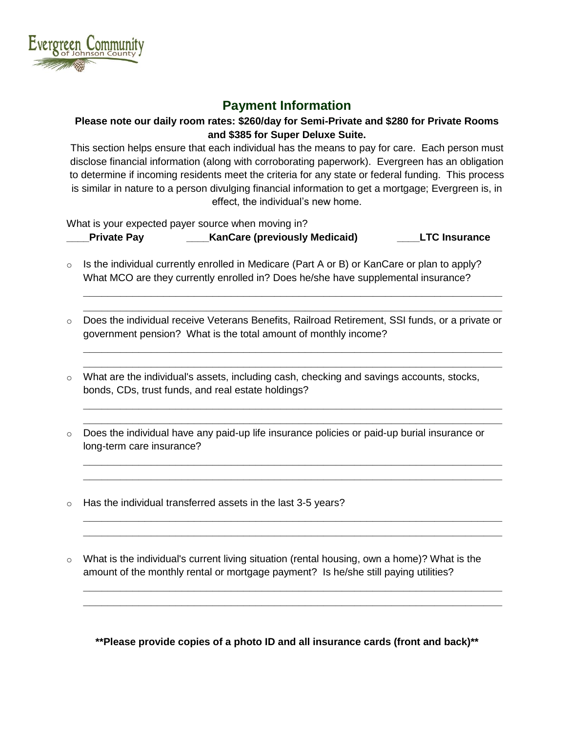

### **Payment Information**

#### **Please note our daily room rates: \$260/day for Semi-Private and \$280 for Private Rooms and \$385 for Super Deluxe Suite.**

This section helps ensure that each individual has the means to pay for care. Each person must disclose financial information (along with corroborating paperwork). Evergreen has an obligation to determine if incoming residents meet the criteria for any state or federal funding. This process is similar in nature to a person divulging financial information to get a mortgage; Evergreen is, in effect, the individual's new home.

What is your expected payer source when moving in?

**\_\_\_\_Private Pay \_\_\_\_KanCare (previously Medicaid) \_\_\_\_LTC Insurance**

- 
- o Is the individual currently enrolled in [Medicare](http://nursing-homes.aplaceformom.com/articles/medicare-information) (Part A or B) or KanCare or plan to apply? What MCO are they currently enrolled in? Does he/she have supplemental insurance?
- o Does the individual receive Veterans Benefits, Railroad Retirement, SSI funds, or a private or government pension? What is the total amount of monthly income?

**\_\_\_\_\_\_\_\_\_\_\_\_\_\_\_\_\_\_\_\_\_\_\_\_\_\_\_\_\_\_\_\_\_\_\_\_\_\_\_\_\_\_\_\_\_\_\_\_\_\_\_\_\_\_\_\_\_\_\_\_\_\_\_\_\_\_\_\_ \_\_\_\_\_\_\_\_\_\_\_\_\_\_\_\_\_\_\_\_\_\_\_\_\_\_\_\_\_\_\_\_\_\_\_\_\_\_\_\_\_\_\_\_\_\_\_\_\_\_\_\_\_\_\_\_\_\_\_\_\_\_\_\_\_\_\_\_**

**\_\_\_\_\_\_\_\_\_\_\_\_\_\_\_\_\_\_\_\_\_\_\_\_\_\_\_\_\_\_\_\_\_\_\_\_\_\_\_\_\_\_\_\_\_\_\_\_\_\_\_\_\_\_\_\_\_\_\_\_\_\_\_\_\_\_\_\_ \_\_\_\_\_\_\_\_\_\_\_\_\_\_\_\_\_\_\_\_\_\_\_\_\_\_\_\_\_\_\_\_\_\_\_\_\_\_\_\_\_\_\_\_\_\_\_\_\_\_\_\_\_\_\_\_\_\_\_\_\_\_\_\_\_\_\_\_**

**\_\_\_\_\_\_\_\_\_\_\_\_\_\_\_\_\_\_\_\_\_\_\_\_\_\_\_\_\_\_\_\_\_\_\_\_\_\_\_\_\_\_\_\_\_\_\_\_\_\_\_\_\_\_\_\_\_\_\_\_\_\_\_\_\_\_\_\_ \_\_\_\_\_\_\_\_\_\_\_\_\_\_\_\_\_\_\_\_\_\_\_\_\_\_\_\_\_\_\_\_\_\_\_\_\_\_\_\_\_\_\_\_\_\_\_\_\_\_\_\_\_\_\_\_\_\_\_\_\_\_\_\_\_\_\_\_**

**\_\_\_\_\_\_\_\_\_\_\_\_\_\_\_\_\_\_\_\_\_\_\_\_\_\_\_\_\_\_\_\_\_\_\_\_\_\_\_\_\_\_\_\_\_\_\_\_\_\_\_\_\_\_\_\_\_\_\_\_\_\_\_\_\_\_\_\_ \_\_\_\_\_\_\_\_\_\_\_\_\_\_\_\_\_\_\_\_\_\_\_\_\_\_\_\_\_\_\_\_\_\_\_\_\_\_\_\_\_\_\_\_\_\_\_\_\_\_\_\_\_\_\_\_\_\_\_\_\_\_\_\_\_\_\_\_**

**\_\_\_\_\_\_\_\_\_\_\_\_\_\_\_\_\_\_\_\_\_\_\_\_\_\_\_\_\_\_\_\_\_\_\_\_\_\_\_\_\_\_\_\_\_\_\_\_\_\_\_\_\_\_\_\_\_\_\_\_\_\_\_\_\_\_\_\_ \_\_\_\_\_\_\_\_\_\_\_\_\_\_\_\_\_\_\_\_\_\_\_\_\_\_\_\_\_\_\_\_\_\_\_\_\_\_\_\_\_\_\_\_\_\_\_\_\_\_\_\_\_\_\_\_\_\_\_\_\_\_\_\_\_\_\_\_**

**\_\_\_\_\_\_\_\_\_\_\_\_\_\_\_\_\_\_\_\_\_\_\_\_\_\_\_\_\_\_\_\_\_\_\_\_\_\_\_\_\_\_\_\_\_\_\_\_\_\_\_\_\_\_\_\_\_\_\_\_\_\_\_\_\_\_\_\_ \_\_\_\_\_\_\_\_\_\_\_\_\_\_\_\_\_\_\_\_\_\_\_\_\_\_\_\_\_\_\_\_\_\_\_\_\_\_\_\_\_\_\_\_\_\_\_\_\_\_\_\_\_\_\_\_\_\_\_\_\_\_\_\_\_\_\_\_**

- $\circ$  What are the individual's assets, including cash, checking and savings accounts, stocks, bonds, CDs, trust funds, and real estate holdings?
- $\circ$  Does the individual have any paid-up life insurance policies or paid-up burial insurance or long-term care insurance?
- o Has the individual transferred assets in the last 3-5 years?
- o What is the individual's current living situation (rental housing, own a home)? What is the amount of the monthly rental or mortgage payment? Is he/she still paying utilities?

**\*\*Please provide copies of a photo ID and all insurance cards (front and back)\*\***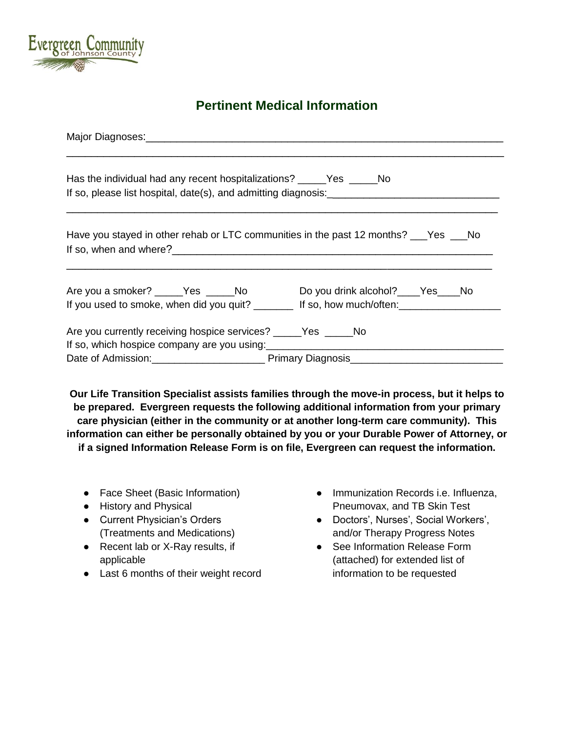

## **Pertinent Medical Information**

| Has the individual had any recent hospitalizations? ______Yes ______No                                                                                                                                                                                                                          |                                                                                                                                            |  |  |  |  |
|-------------------------------------------------------------------------------------------------------------------------------------------------------------------------------------------------------------------------------------------------------------------------------------------------|--------------------------------------------------------------------------------------------------------------------------------------------|--|--|--|--|
|                                                                                                                                                                                                                                                                                                 | Have you stayed in other rehab or LTC communities in the past 12 months? ___Yes ___No                                                      |  |  |  |  |
|                                                                                                                                                                                                                                                                                                 | Are you a smoker? _____Yes _____No Do you drink alcohol? ____Yes ____No<br>If you used to smoke, when did you quit? If so, how much/often: |  |  |  |  |
| Are you currently receiving hospice services? _____Yes _____No<br>If so, which hospice company are you using: [11] The solution of the solution of the solution of the solution of the solution of the solution of the solution of the solution of the solution of the solution of the solution |                                                                                                                                            |  |  |  |  |

**Our Life Transition Specialist assists families through the move-in process, but it helps to be prepared. Evergreen requests the following additional information from your primary care physician (either in the community or at another long-term care community). This information can either be personally obtained by you or your Durable Power of Attorney, or if a signed Information Release Form is on file, Evergreen can request the information.**

- Face Sheet (Basic Information)
- History and Physical
- Current Physician's Orders (Treatments and Medications)
- Recent lab or X-Ray results, if applicable
- Last 6 months of their weight record
- Immunization Records i.e. Influenza, Pneumovax, and TB Skin Test
- Doctors', Nurses', Social Workers', and/or Therapy Progress Notes
- See Information Release Form (attached) for extended list of information to be requested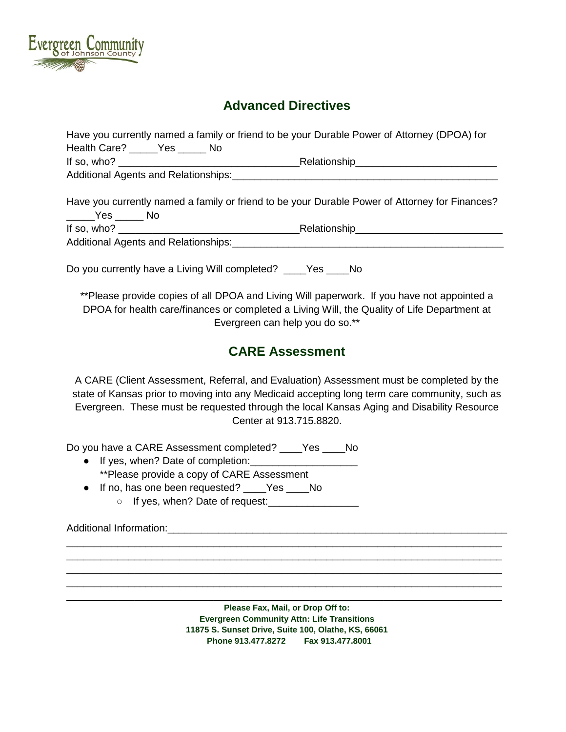

#### **Advanced Directives**

|                                | Have you currently named a family or friend to be your Durable Power of Attorney (DPOA) for    |  |  |
|--------------------------------|------------------------------------------------------------------------------------------------|--|--|
| Health Care? _____Yes _____ No |                                                                                                |  |  |
|                                |                                                                                                |  |  |
|                                |                                                                                                |  |  |
|                                | Have you currently named a family or friend to be your Durable Power of Attorney for Finances? |  |  |
|                                |                                                                                                |  |  |
|                                |                                                                                                |  |  |
|                                | Do you currently have a Living Will completed? ____Yes ____No                                  |  |  |

\*\*Please provide copies of all DPOA and Living Will paperwork. If you have not appointed a DPOA for health care/finances or completed a Living Will, the Quality of Life Department at Evergreen can help you do so.\*\*

### **CARE Assessment**

A CARE (Client Assessment, Referral, and Evaluation) Assessment must be completed by the state of Kansas prior to moving into any Medicaid accepting long term care community, such as Evergreen. These must be requested through the local Kansas Aging and Disability Resource Center at 913.715.8820.

Do you have a CARE Assessment completed? Yes No

- If yes, when? Date of completion: \*\*Please provide a copy of CARE Assessment
- If no, has one been requested? \_\_\_\_Yes \_\_\_\_No ○ If yes, when? Date of request: <u>\_\_\_\_\_\_\_\_\_\_\_\_\_\_\_\_\_\_\_</u>

Additional Information:\_\_\_\_\_\_\_\_\_\_\_\_\_\_\_\_\_\_\_\_\_\_\_\_\_\_\_\_\_\_\_\_\_\_\_\_\_\_\_\_\_\_\_\_\_\_\_\_\_\_\_\_\_\_\_\_\_\_\_\_

**Please Fax, Mail, or Drop Off to: Evergreen Community Attn: Life Transitions 11875 S. Sunset Drive, Suite 100, Olathe, KS, 66061 Phone 913.477.8272 Fax 913.477.8001**

\_\_\_\_\_\_\_\_\_\_\_\_\_\_\_\_\_\_\_\_\_\_\_\_\_\_\_\_\_\_\_\_\_\_\_\_\_\_\_\_\_\_\_\_\_\_\_\_\_\_\_\_\_\_\_\_\_\_\_\_\_\_\_\_\_\_\_\_\_\_\_\_\_\_\_\_\_ \_\_\_\_\_\_\_\_\_\_\_\_\_\_\_\_\_\_\_\_\_\_\_\_\_\_\_\_\_\_\_\_\_\_\_\_\_\_\_\_\_\_\_\_\_\_\_\_\_\_\_\_\_\_\_\_\_\_\_\_\_\_\_\_\_\_\_\_\_\_\_\_\_\_\_\_\_ \_\_\_\_\_\_\_\_\_\_\_\_\_\_\_\_\_\_\_\_\_\_\_\_\_\_\_\_\_\_\_\_\_\_\_\_\_\_\_\_\_\_\_\_\_\_\_\_\_\_\_\_\_\_\_\_\_\_\_\_\_\_\_\_\_\_\_\_\_\_\_\_\_\_\_\_\_ \_\_\_\_\_\_\_\_\_\_\_\_\_\_\_\_\_\_\_\_\_\_\_\_\_\_\_\_\_\_\_\_\_\_\_\_\_\_\_\_\_\_\_\_\_\_\_\_\_\_\_\_\_\_\_\_\_\_\_\_\_\_\_\_\_\_\_\_\_\_\_\_\_\_\_\_\_ \_\_\_\_\_\_\_\_\_\_\_\_\_\_\_\_\_\_\_\_\_\_\_\_\_\_\_\_\_\_\_\_\_\_\_\_\_\_\_\_\_\_\_\_\_\_\_\_\_\_\_\_\_\_\_\_\_\_\_\_\_\_\_\_\_\_\_\_\_\_\_\_\_\_\_\_\_